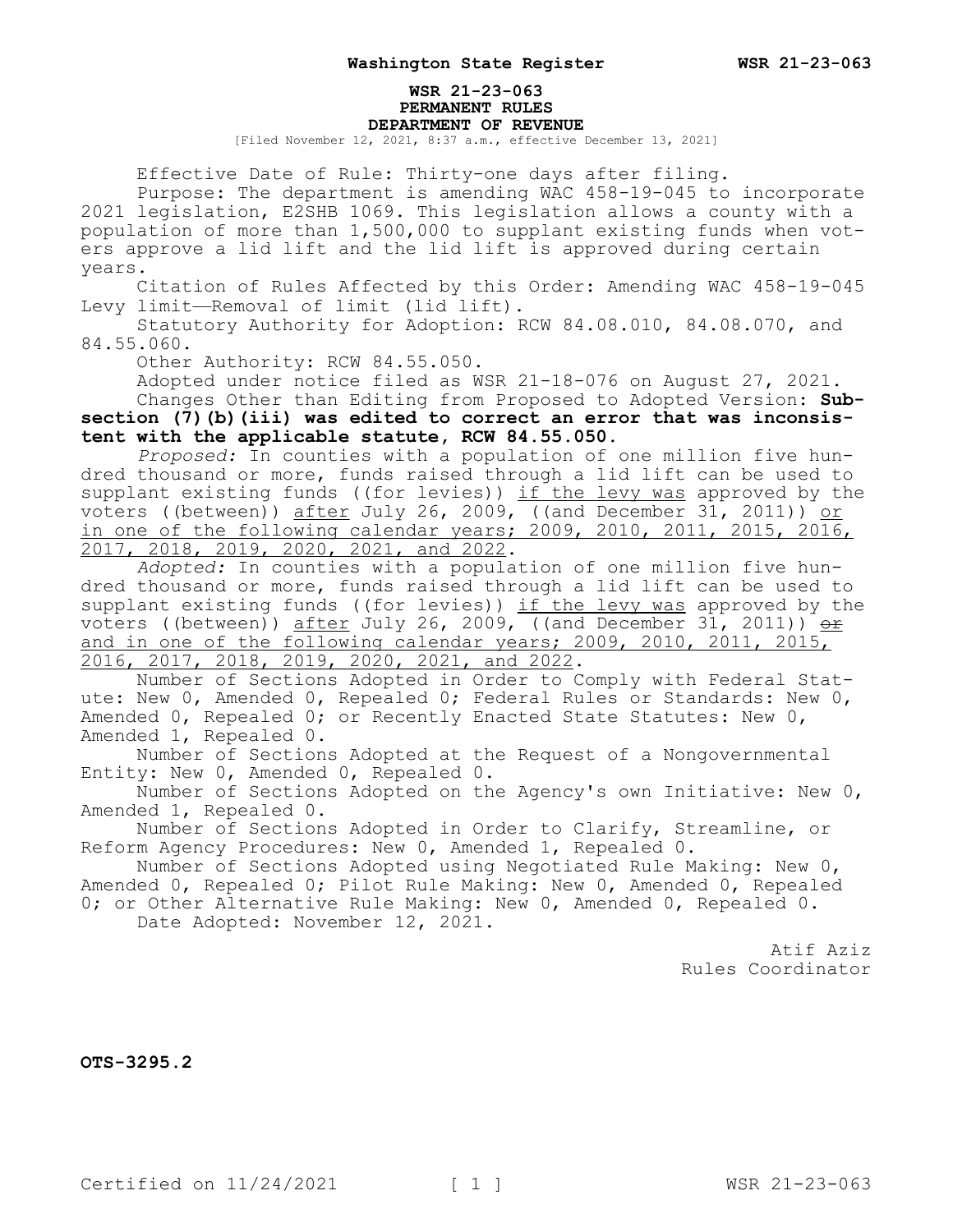## **WSR 21-23-063 PERMANENT RULES DEPARTMENT OF REVENUE**

[Filed November 12, 2021, 8:37 a.m., effective December 13, 2021]

Effective Date of Rule: Thirty-one days after filing.

Purpose: The department is amending WAC 458-19-045 to incorporate 2021 legislation, E2SHB 1069. This legislation allows a county with a population of more than 1,500,000 to supplant existing funds when voters approve a lid lift and the lid lift is approved during certain years.

Citation of Rules Affected by this Order: Amending WAC 458-19-045 Levy limit—Removal of limit (lid lift).

Statutory Authority for Adoption: RCW 84.08.010, 84.08.070, and 84.55.060.

Other Authority: RCW 84.55.050.

Adopted under notice filed as WSR 21-18-076 on August 27, 2021. Changes Other than Editing from Proposed to Adopted Version: **Subsection (7)(b)(iii) was edited to correct an error that was inconsistent with the applicable statute, RCW 84.55.050.**

*Proposed:* In counties with a population of one million five hundred thousand or more, funds raised through a lid lift can be used to supplant existing funds ((for levies))  $if$  the levy was approved by the voters ((between)) after July 26, 2009, ((and December 31, 2011)) or in one of the following calendar years; 2009, 2010, 2011, 2015, 2016, 2017, 2018, 2019, 2020, 2021, and 2022.

*Adopted:* In counties with a population of one million five hundred thousand or more, funds raised through a lid lift can be used to supplant existing funds ((for levies)) if the levy was approved by the voters ((between)) <u>after</u> July 26, 2009, ((and December 31, 2011)) <u><del>or</del></u> and in one of the following calendar years; 2009, 2010, 2011, 2015, 2016, 2017, 2018, 2019, 2020, 2021, and 2022.

Number of Sections Adopted in Order to Comply with Federal Statute: New 0, Amended 0, Repealed 0; Federal Rules or Standards: New 0, Amended 0, Repealed 0; or Recently Enacted State Statutes: New 0, Amended 1, Repealed 0.

Number of Sections Adopted at the Request of a Nongovernmental Entity: New 0, Amended 0, Repealed 0.

Number of Sections Adopted on the Agency's own Initiative: New 0, Amended 1, Repealed 0.

Number of Sections Adopted in Order to Clarify, Streamline, or Reform Agency Procedures: New 0, Amended 1, Repealed 0.

Number of Sections Adopted using Negotiated Rule Making: New 0, Amended 0, Repealed 0; Pilot Rule Making: New 0, Amended 0, Repealed 0; or Other Alternative Rule Making: New 0, Amended 0, Repealed 0.

Date Adopted: November 12, 2021.

Atif Aziz Rules Coordinator

**OTS-3295.2**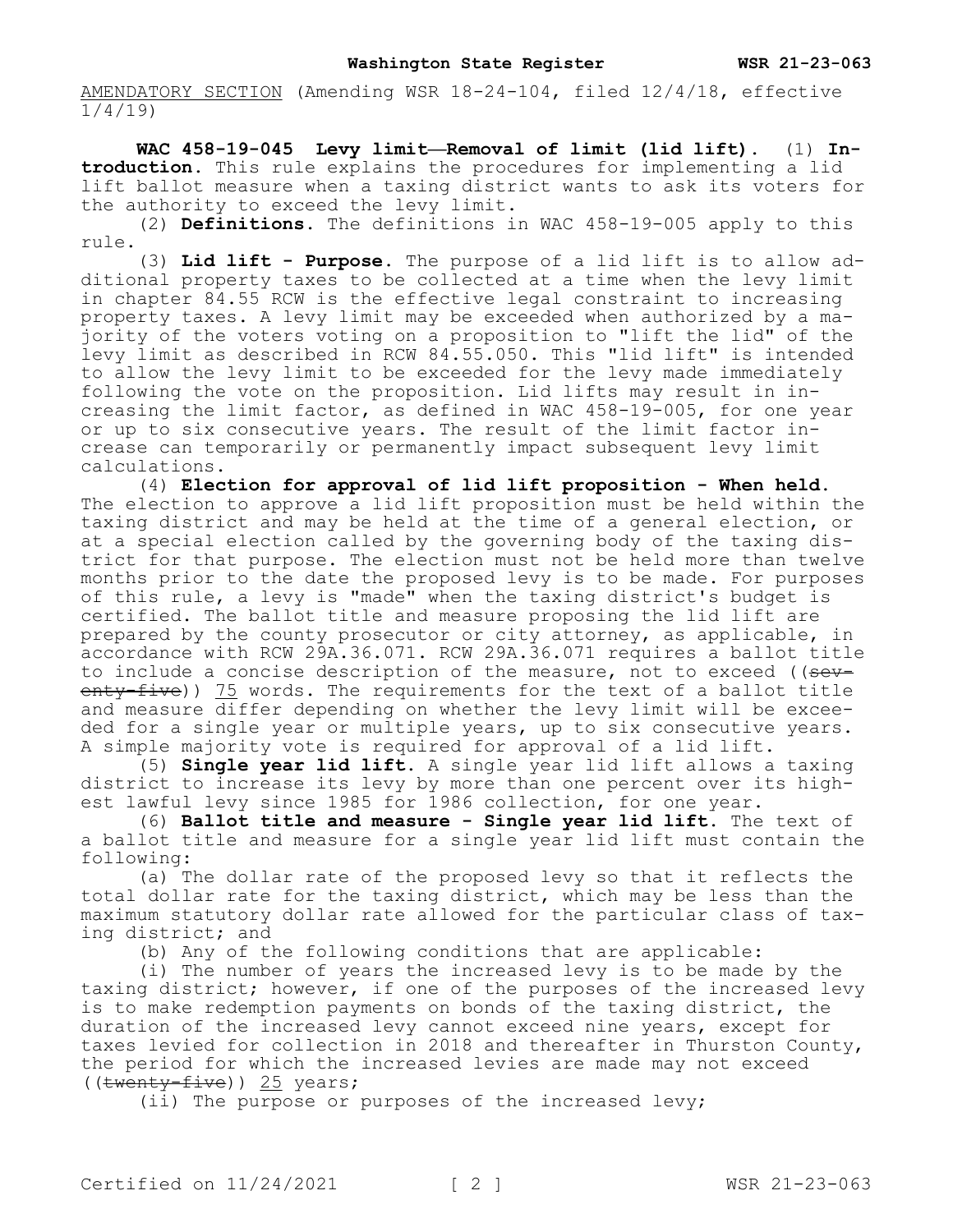AMENDATORY SECTION (Amending WSR 18-24-104, filed 12/4/18, effective 1/4/19)

**WAC 458-19-045 Levy limit—Removal of limit (lid lift).** (1) **Introduction.** This rule explains the procedures for implementing a lid lift ballot measure when a taxing district wants to ask its voters for the authority to exceed the levy limit.

(2) **Definitions.** The definitions in WAC 458-19-005 apply to this rule.

(3) **Lid lift - Purpose.** The purpose of a lid lift is to allow additional property taxes to be collected at a time when the levy limit in chapter 84.55 RCW is the effective legal constraint to increasing property taxes. A levy limit may be exceeded when authorized by a majority of the voters voting on a proposition to "lift the lid" of the levy limit as described in RCW 84.55.050. This "lid lift" is intended to allow the levy limit to be exceeded for the levy made immediately following the vote on the proposition. Lid lifts may result in increasing the limit factor, as defined in WAC 458-19-005, for one year or up to six consecutive years. The result of the limit factor increase can temporarily or permanently impact subsequent levy limit calculations.

(4) **Election for approval of lid lift proposition - When held.**  The election to approve a lid lift proposition must be held within the taxing district and may be held at the time of a general election, or at a special election called by the governing body of the taxing district for that purpose. The election must not be held more than twelve months prior to the date the proposed levy is to be made. For purposes of this rule, a levy is "made" when the taxing district's budget is certified. The ballot title and measure proposing the lid lift are prepared by the county prosecutor or city attorney, as applicable, in accordance with RCW 29A.36.071. RCW 29A.36.071 requires a ballot title to include a concise description of the measure, not to exceed ((seventy-five)) 75 words. The requirements for the text of a ballot title and measure differ depending on whether the levy limit will be exceeded for a single year or multiple years, up to six consecutive years. A simple majority vote is required for approval of a lid lift.

(5) **Single year lid lift.** A single year lid lift allows a taxing district to increase its levy by more than one percent over its highest lawful levy since 1985 for 1986 collection, for one year.

(6) **Ballot title and measure - Single year lid lift.** The text of a ballot title and measure for a single year lid lift must contain the following:

(a) The dollar rate of the proposed levy so that it reflects the total dollar rate for the taxing district, which may be less than the maximum statutory dollar rate allowed for the particular class of taxing district; and

(b) Any of the following conditions that are applicable:

(i) The number of years the increased levy is to be made by the taxing district; however, if one of the purposes of the increased levy is to make redemption payments on bonds of the taxing district, the duration of the increased levy cannot exceed nine years, except for taxes levied for collection in 2018 and thereafter in Thurston County, the period for which the increased levies are made may not exceed  $((\text{twenty-five})) 25 \text{ years};$ 

(ii) The purpose or purposes of the increased levy;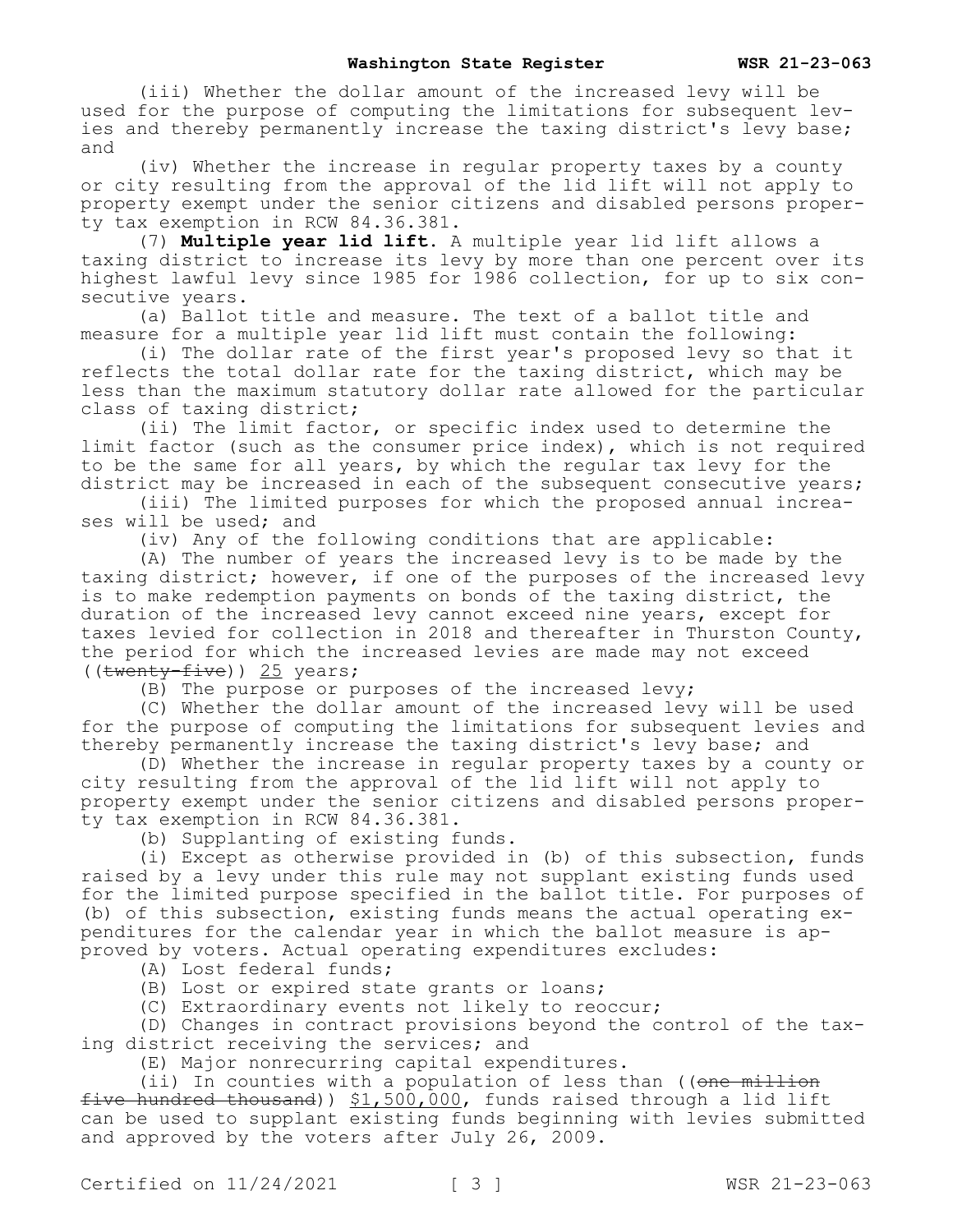(iii) Whether the dollar amount of the increased levy will be used for the purpose of computing the limitations for subsequent levies and thereby permanently increase the taxing district's levy base; and

(iv) Whether the increase in regular property taxes by a county or city resulting from the approval of the lid lift will not apply to property exempt under the senior citizens and disabled persons property tax exemption in RCW 84.36.381.

(7) **Multiple year lid lift.** A multiple year lid lift allows a taxing district to increase its levy by more than one percent over its highest lawful levy since 1985 for 1986 collection, for up to six consecutive years.

(a) Ballot title and measure. The text of a ballot title and measure for a multiple year lid lift must contain the following:

(i) The dollar rate of the first year's proposed levy so that it reflects the total dollar rate for the taxing district, which may be less than the maximum statutory dollar rate allowed for the particular class of taxing district;

(ii) The limit factor, or specific index used to determine the limit factor (such as the consumer price index), which is not required to be the same for all years, by which the regular tax levy for the district may be increased in each of the subsequent consecutive years;

(iii) The limited purposes for which the proposed annual increases will be used; and

(iv) Any of the following conditions that are applicable:

(A) The number of years the increased levy is to be made by the taxing district; however, if one of the purposes of the increased levy is to make redemption payments on bonds of the taxing district, the duration of the increased levy cannot exceed nine years, except for taxes levied for collection in 2018 and thereafter in Thurston County, the period for which the increased levies are made may not exceed ((twenty-five)) 25 years;

(B) The purpose or purposes of the increased levy;

(C) Whether the dollar amount of the increased levy will be used for the purpose of computing the limitations for subsequent levies and thereby permanently increase the taxing district's levy base; and

(D) Whether the increase in regular property taxes by a county or city resulting from the approval of the lid lift will not apply to property exempt under the senior citizens and disabled persons property tax exemption in RCW 84.36.381.

(b) Supplanting of existing funds.

(i) Except as otherwise provided in (b) of this subsection, funds raised by a levy under this rule may not supplant existing funds used for the limited purpose specified in the ballot title. For purposes of (b) of this subsection, existing funds means the actual operating expenditures for the calendar year in which the ballot measure is approved by voters. Actual operating expenditures excludes:

(A) Lost federal funds;

(B) Lost or expired state grants or loans;

(C) Extraordinary events not likely to reoccur;

(D) Changes in contract provisions beyond the control of the taxing district receiving the services; and

(E) Major nonrecurring capital expenditures.

(ii) In counties with a population of less than (( $\theta$ ne million five hundred thousand))  $$1,500,000$ , funds raised through a lid lift can be used to supplant existing funds beginning with levies submitted and approved by the voters after July 26, 2009.